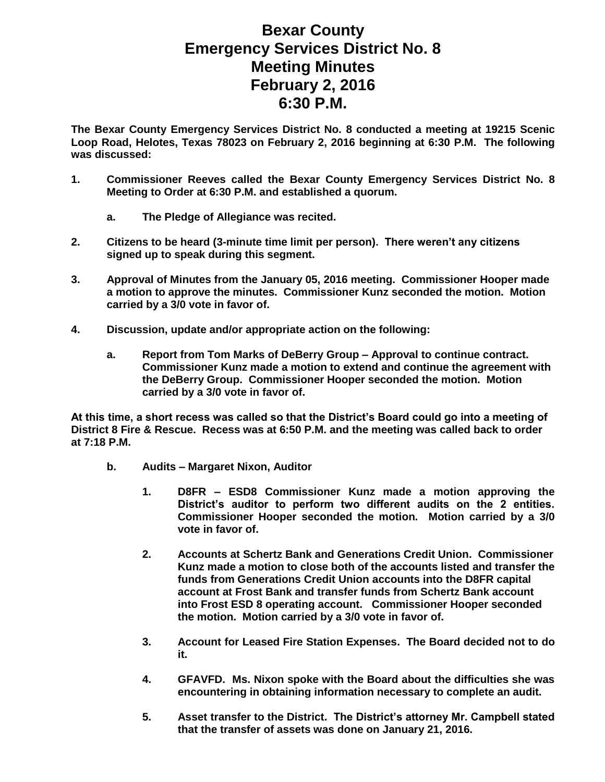## **Bexar County Emergency Services District No. 8 Meeting Minutes February 2, 2016 6:30 P.M.**

**The Bexar County Emergency Services District No. 8 conducted a meeting at 19215 Scenic Loop Road, Helotes, Texas 78023 on February 2, 2016 beginning at 6:30 P.M. The following was discussed:**

- **1. Commissioner Reeves called the Bexar County Emergency Services District No. 8 Meeting to Order at 6:30 P.M. and established a quorum.** 
	- **a. The Pledge of Allegiance was recited.**
- **2. Citizens to be heard (3-minute time limit per person). There weren't any citizens signed up to speak during this segment.**
- **3. Approval of Minutes from the January 05, 2016 meeting. Commissioner Hooper made a motion to approve the minutes. Commissioner Kunz seconded the motion. Motion carried by a 3/0 vote in favor of.**
- **4. Discussion, update and/or appropriate action on the following:**
	- **a. Report from Tom Marks of DeBerry Group – Approval to continue contract. Commissioner Kunz made a motion to extend and continue the agreement with the DeBerry Group. Commissioner Hooper seconded the motion. Motion carried by a 3/0 vote in favor of.**

**At this time, a short recess was called so that the District's Board could go into a meeting of District 8 Fire & Rescue. Recess was at 6:50 P.M. and the meeting was called back to order at 7:18 P.M.**

- **b. Audits – Margaret Nixon, Auditor**
	- **1. D8FR – ESD8 Commissioner Kunz made a motion approving the District's auditor to perform two different audits on the 2 entities. Commissioner Hooper seconded the motion. Motion carried by a 3/0 vote in favor of.**
	- **2. Accounts at Schertz Bank and Generations Credit Union. Commissioner Kunz made a motion to close both of the accounts listed and transfer the funds from Generations Credit Union accounts into the D8FR capital account at Frost Bank and transfer funds from Schertz Bank account into Frost ESD 8 operating account. Commissioner Hooper seconded the motion. Motion carried by a 3/0 vote in favor of.**
	- **3. Account for Leased Fire Station Expenses. The Board decided not to do it.**
	- **4. GFAVFD. Ms. Nixon spoke with the Board about the difficulties she was encountering in obtaining information necessary to complete an audit.**
	- **5. Asset transfer to the District. The District's attorney Mr. Campbell stated that the transfer of assets was done on January 21, 2016.**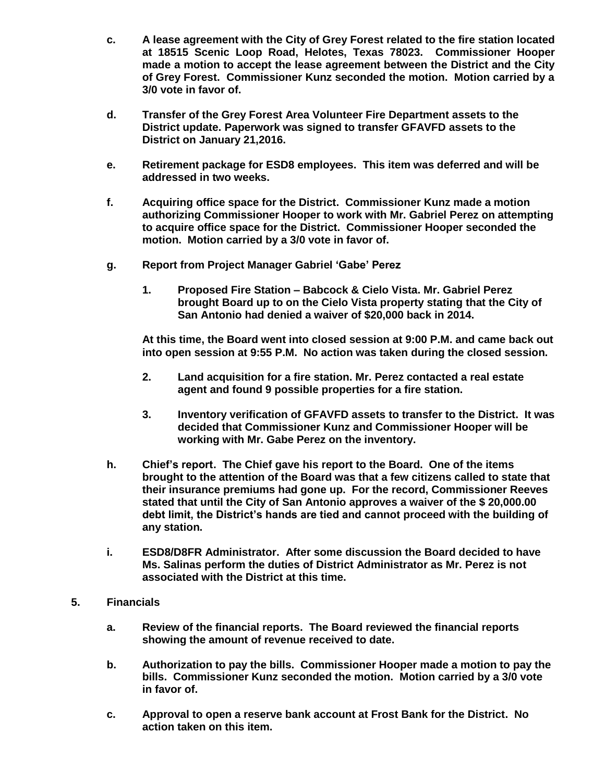- **c. A lease agreement with the City of Grey Forest related to the fire station located at 18515 Scenic Loop Road, Helotes, Texas 78023. Commissioner Hooper made a motion to accept the lease agreement between the District and the City of Grey Forest. Commissioner Kunz seconded the motion. Motion carried by a 3/0 vote in favor of.**
- **d. Transfer of the Grey Forest Area Volunteer Fire Department assets to the District update. Paperwork was signed to transfer GFAVFD assets to the District on January 21,2016.**
- **e. Retirement package for ESD8 employees. This item was deferred and will be addressed in two weeks.**
- **f. Acquiring office space for the District. Commissioner Kunz made a motion authorizing Commissioner Hooper to work with Mr. Gabriel Perez on attempting to acquire office space for the District. Commissioner Hooper seconded the motion. Motion carried by a 3/0 vote in favor of.**
- **g. Report from Project Manager Gabriel 'Gabe' Perez**
	- **1. Proposed Fire Station – Babcock & Cielo Vista. Mr. Gabriel Perez brought Board up to on the Cielo Vista property stating that the City of San Antonio had denied a waiver of \$20,000 back in 2014.**

**At this time, the Board went into closed session at 9:00 P.M. and came back out into open session at 9:55 P.M. No action was taken during the closed session.**

- **2. Land acquisition for a fire station. Mr. Perez contacted a real estate agent and found 9 possible properties for a fire station.**
- **3. Inventory verification of GFAVFD assets to transfer to the District. It was decided that Commissioner Kunz and Commissioner Hooper will be working with Mr. Gabe Perez on the inventory.**
- **h. Chief's report. The Chief gave his report to the Board. One of the items brought to the attention of the Board was that a few citizens called to state that their insurance premiums had gone up. For the record, Commissioner Reeves stated that until the City of San Antonio approves a waiver of the \$ 20,000.00 debt limit, the District's hands are tied and cannot proceed with the building of any station.**
- **i. ESD8/D8FR Administrator. After some discussion the Board decided to have Ms. Salinas perform the duties of District Administrator as Mr. Perez is not associated with the District at this time.**
- **5. Financials**
	- **a. Review of the financial reports. The Board reviewed the financial reports showing the amount of revenue received to date.**
	- **b. Authorization to pay the bills. Commissioner Hooper made a motion to pay the bills. Commissioner Kunz seconded the motion. Motion carried by a 3/0 vote in favor of.**
	- **c. Approval to open a reserve bank account at Frost Bank for the District. No action taken on this item.**